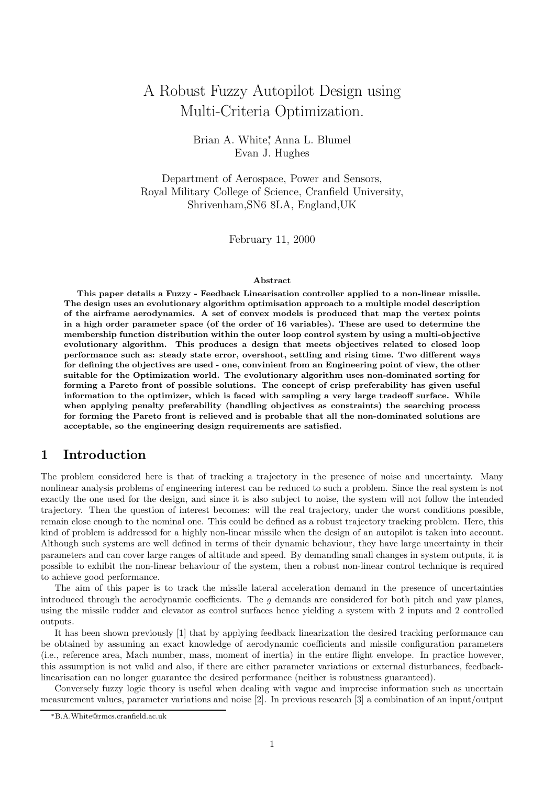# A Robust Fuzzy Autopilot Design using Multi-Criteria Optimization.

Brian A. White<sup>\*</sup>, Anna L. Blumel Evan J. Hughes

Department of Aerospace, Power and Sensors, Royal Military College of Science, Cranfield University, Shrivenham,SN6 8LA, England,UK

February 11, 2000

#### Abstract

This paper details a Fuzzy - Feedback Linearisation controller applied to a non-linear missile. The design uses an evolutionary algorithm optimisation approach to a multiple model description of the airframe aerodynamics. A set of convex models is produced that map the vertex points in a high order parameter space (of the order of 16 variables). These are used to determine the membership function distribution within the outer loop control system by using a multi-objective evolutionary algorithm. This produces a design that meets objectives related to closed loop performance such as: steady state error, overshoot, settling and rising time. Two different ways for defining the objectives are used - one, convinient from an Engineering point of view, the other suitable for the Optimization world. The evolutionary algorithm uses non-dominated sorting for forming a Pareto front of possible solutions. The concept of crisp preferability has given useful information to the optimizer, which is faced with sampling a very large tradeoff surface. While when applying penalty preferability (handling objectives as constraints) the searching process for forming the Pareto front is relieved and is probable that all the non-dominated solutions are acceptable, so the engineering design requirements are satisfied.

#### 1 Introduction

The problem considered here is that of tracking a trajectory in the presence of noise and uncertainty. Many nonlinear analysis problems of engineering interest can be reduced to such a problem. Since the real system is not exactly the one used for the design, and since it is also subject to noise, the system will not follow the intended trajectory. Then the question of interest becomes: will the real trajectory, under the worst conditions possible, remain close enough to the nominal one. This could be defined as a robust trajectory tracking problem. Here, this kind of problem is addressed for a highly non-linear missile when the design of an autopilot is taken into account. Although such systems are well defined in terms of their dynamic behaviour, they have large uncertainty in their parameters and can cover large ranges of altitude and speed. By demanding small changes in system outputs, it is possible to exhibit the non-linear behaviour of the system, then a robust non-linear control technique is required to achieve good performance.

The aim of this paper is to track the missile lateral acceleration demand in the presence of uncertainties introduced through the aerodynamic coefficients. The  $q$  demands are considered for both pitch and yaw planes, using the missile rudder and elevator as control surfaces hence yielding a system with 2 inputs and 2 controlled outputs.

It has been shown previously [1] that by applying feedback linearization the desired tracking performance can be obtained by assuming an exact knowledge of aerodynamic coefficients and missile configuration parameters (i.e., reference area, Mach number, mass, moment of inertia) in the entire flight envelope. In practice however, this assumption is not valid and also, if there are either parameter variations or external disturbances, feedbacklinearisation can no longer guarantee the desired performance (neither is robustness guaranteed).

Conversely fuzzy logic theory is useful when dealing with vague and imprecise information such as uncertain measurement values, parameter variations and noise [2]. In previous research [3] a combination of an input/output

<sup>∗</sup>B.A.White@rmcs.cranfield.ac.uk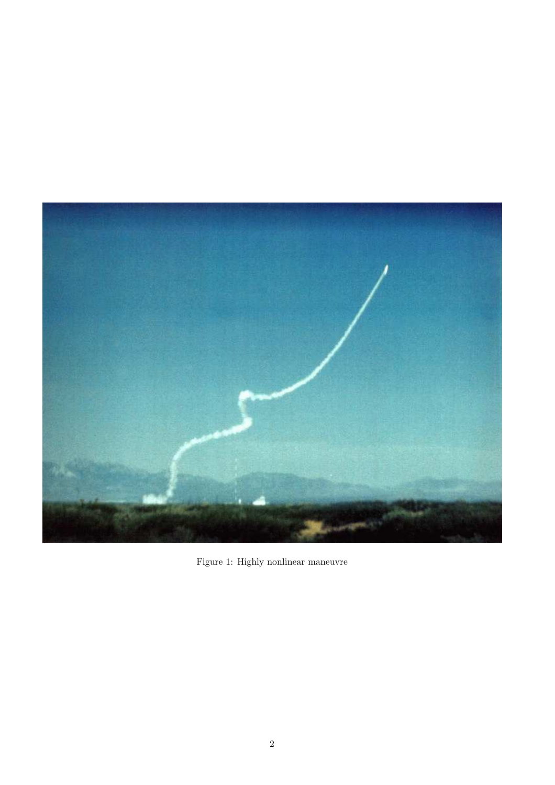

Figure 1: Highly nonlinear maneuvre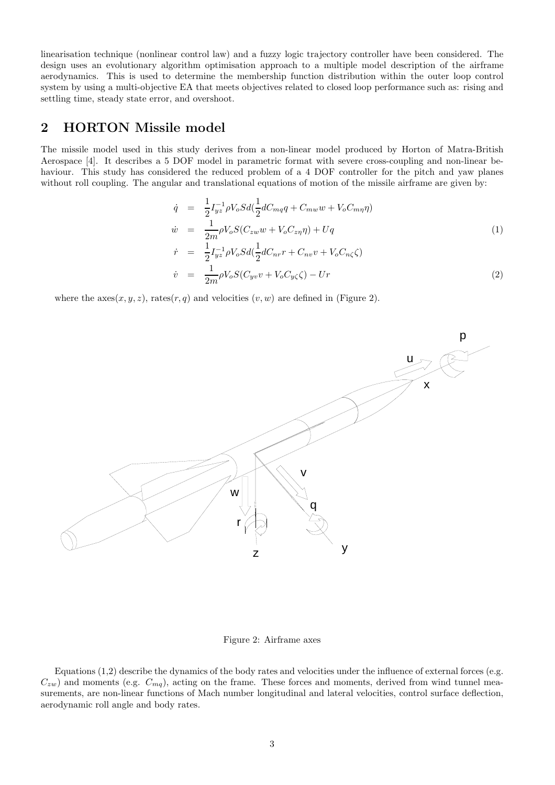linearisation technique (nonlinear control law) and a fuzzy logic trajectory controller have been considered. The design uses an evolutionary algorithm optimisation approach to a multiple model description of the airframe aerodynamics. This is used to determine the membership function distribution within the outer loop control system by using a multi-objective EA that meets objectives related to closed loop performance such as: rising and settling time, steady state error, and overshoot.

#### 2 HORTON Missile model

The missile model used in this study derives from a non-linear model produced by Horton of Matra-British Aerospace [4]. It describes a 5 DOF model in parametric format with severe cross-coupling and non-linear behaviour. This study has considered the reduced problem of a 4 DOF controller for the pitch and yaw planes without roll coupling. The angular and translational equations of motion of the missile airframe are given by:

$$
\dot{q} = \frac{1}{2} I_{yz}^{-1} \rho V_o S d(\frac{1}{2} dC_{mq} q + C_{mw} w + V_o C_{mn} \eta)
$$
\n
$$
\dot{w} = \frac{1}{2m} \rho V_o S (C_{zw} w + V_o C_{z\eta} \eta) + Uq
$$
\n
$$
\dot{r} = \frac{1}{2} I_{yz}^{-1} \rho V_o S d(\frac{1}{2} dC_{nr} r + C_{nv} v + V_o C_{n\zeta} \zeta)
$$
\n
$$
\dot{v} = \frac{1}{2m} \rho V_o S (C_{yv} v + V_o C_{y\zeta} \zeta) - Ur
$$
\n(2)

where the  $axes(x, y, z)$ , rates $(r, q)$  and velocities  $(v, w)$  are defined in (Figure 2).



Figure 2: Airframe axes

Equations (1,2) describe the dynamics of the body rates and velocities under the influence of external forces (e.g.  $C_{zw}$ ) and moments (e.g.  $C_{ma}$ ), acting on the frame. These forces and moments, derived from wind tunnel measurements, are non-linear functions of Mach number longitudinal and lateral velocities, control surface deflection, aerodynamic roll angle and body rates.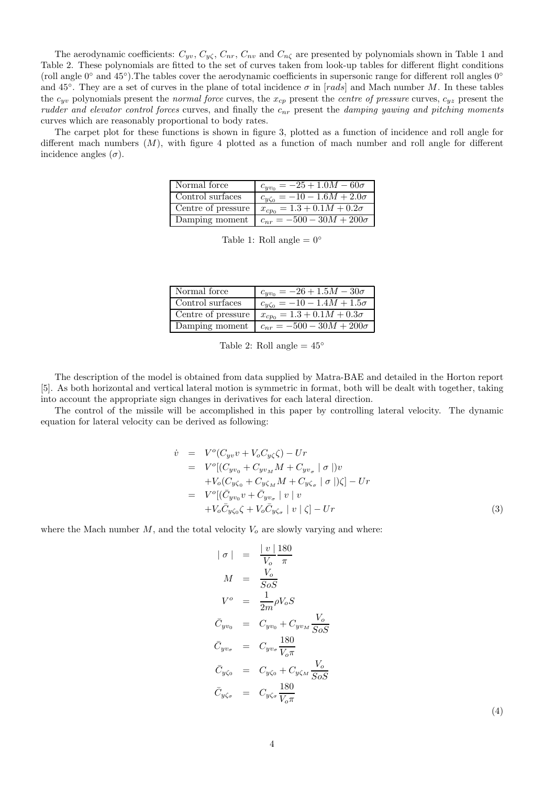The aerodynamic coefficients:  $C_{yv}$ ,  $C_{y\zeta}$ ,  $C_{nr}$ ,  $C_{nv}$  and  $C_{n\zeta}$  are presented by polynomials shown in Table 1 and Table 2. These polynomials are fitted to the set of curves taken from look-up tables for different flight conditions (roll angle 0° and 45°). The tables cover the aerodynamic coefficients in supersonic range for different roll angles 0° and 45°. They are a set of curves in the plane of total incidence  $\sigma$  in [rads] and Mach number M. In these tables the  $c_{uv}$  polynomials present the normal force curves, the  $x_{cp}$  present the centre of pressure curves,  $c_{uz}$  present the rudder and elevator control forces curves, and finally the  $c_{nr}$  present the damping yawing and pitching moments curves which are reasonably proportional to body rates.

The carpet plot for these functions is shown in figure 3, plotted as a function of incidence and roll angle for different mach numbers  $(M)$ , with figure 4 plotted as a function of mach number and roll angle for different incidence angles  $(\sigma)$ .

| Normal force       | $c_{\mu\nu_0} = -25 + 1.0M - 60\sigma$  |
|--------------------|-----------------------------------------|
| Control surfaces   | $c_{y\zeta_0} = -10 - 1.6M + 2.0\sigma$ |
| Centre of pressure | $x_{cp0} = 1.3 + 0.1M + 0.2\sigma$      |
| Damping moment     | $c_{nr} = -500 - 30M + 200\sigma$       |

Table 1: Roll angle  $= 0^\circ$ 

| Normal force       | $c_{\psi v_0} = -26 + 1.5M - 30\sigma$      |
|--------------------|---------------------------------------------|
| Control surfaces   | $c_{\psi \zeta_0} = -10 - 1.4M + 1.5\sigma$ |
| Centre of pressure | $x_{cp_0} = 1.3 + 0.1M + 0.3\sigma$         |
| Damping moment     | $c_{nr} = -500 - 30M + 200\sigma$           |

Table 2: Roll angle  $= 45^\circ$ 

The description of the model is obtained from data supplied by Matra-BAE and detailed in the Horton report [5]. As both horizontal and vertical lateral motion is symmetric in format, both will be dealt with together, taking into account the appropriate sign changes in derivatives for each lateral direction.

The control of the missile will be accomplished in this paper by controlling lateral velocity. The dynamic equation for lateral velocity can be derived as following:

$$
= V^{o}(C_{yv}v + V_{o}C_{y\zeta}\zeta) - Ur
$$
  
\n
$$
= V^{o}[(C_{yv_{0}} + C_{yv_{M}}M + C_{yv_{\sigma}} | \sigma ])v
$$
  
\n
$$
+V_{o}(C_{y\zeta_{0}} + C_{y\zeta_{M}}M + C_{y\zeta_{\sigma}} | \sigma ])\zeta] - Ur
$$
  
\n
$$
= V^{o}[(\bar{C}_{yv_{0}}v + \bar{C}_{yv_{\sigma}} | v | v
$$
  
\n
$$
+V_{o}\bar{C}_{y\zeta_{0}}\zeta + V_{o}\bar{C}_{y\zeta_{\sigma}} | v | \zeta] - Ur
$$
\n(3)

where the Mach number  $M$ , and the total velocity  $V_o$  are slowly varying and where:

 $\dot{\boldsymbol{v}}$ 

$$
\begin{array}{rcl}\n|\sigma| & = & \frac{|v|}{V_o} \frac{180}{\pi} \\
M & = & \frac{V_o}{SoS} \\
V^o & = & \frac{1}{2m} \rho V_o S \\
\bar{C}_{yv_0} & = & C_{yv_0} + C_{yv_M} \frac{V_o}{SoS} \\
\bar{C}_{yv_\sigma} & = & C_{yv_\sigma} \frac{180}{V_o \pi} \\
\bar{C}_{y\zeta_0} & = & C_{y\zeta_0} + C_{y\zeta_M} \frac{V_o}{SoS} \\
\bar{C}_{y\zeta_\sigma} & = & C_{y\zeta_\sigma} \frac{180}{V_o \pi}\n\end{array}
$$

(4)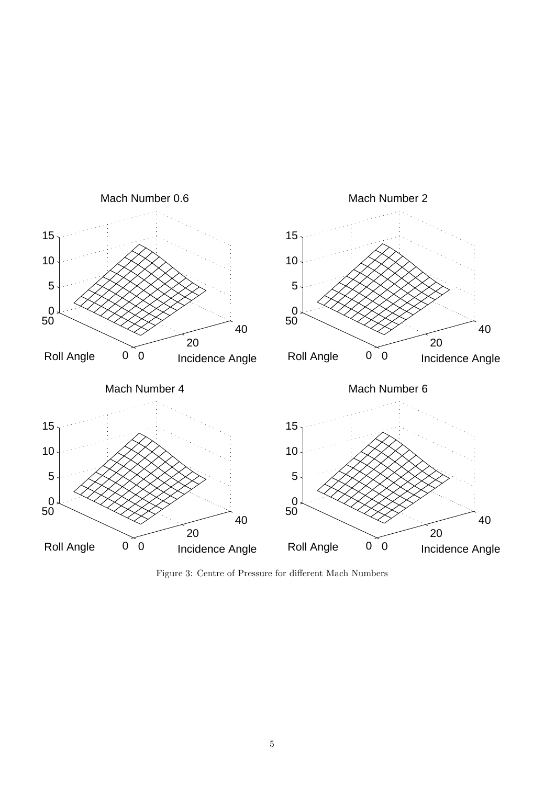

Figure 3: Centre of Pressure for different Mach Numbers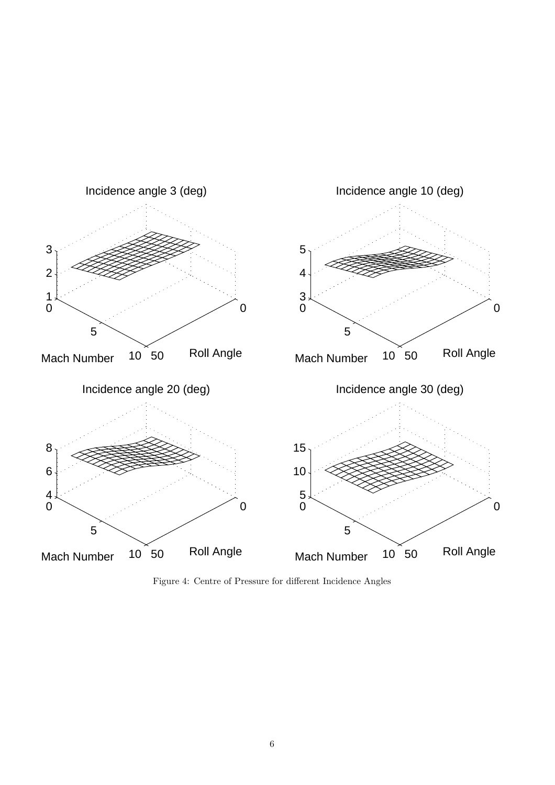

Figure 4: Centre of Pressure for different Incidence Angles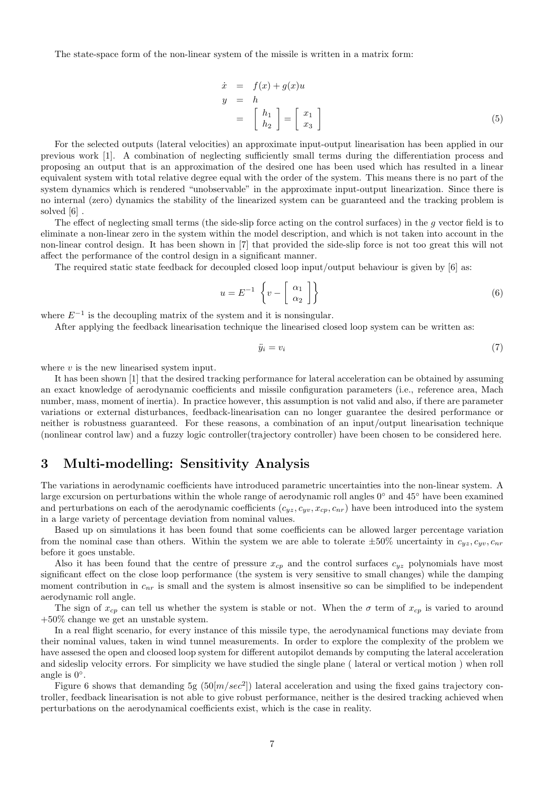The state-space form of the non-linear system of the missile is written in a matrix form:

$$
\begin{array}{rcl}\n\dot{x} & = & f(x) + g(x)u \\
y & = & h \\
& = & \begin{bmatrix} h_1 \\ h_2 \end{bmatrix} = \begin{bmatrix} x_1 \\ x_3 \end{bmatrix}\n\end{array} (5)
$$

For the selected outputs (lateral velocities) an approximate input-output linearisation has been applied in our previous work [1]. A combination of neglecting sufficiently small terms during the differentiation process and proposing an output that is an approximation of the desired one has been used which has resulted in a linear equivalent system with total relative degree equal with the order of the system. This means there is no part of the system dynamics which is rendered "unobservable" in the approximate input-output linearization. Since there is no internal (zero) dynamics the stability of the linearized system can be guaranteed and the tracking problem is solved [6] .

The effect of neglecting small terms (the side-slip force acting on the control surfaces) in the g vector field is to eliminate a non-linear zero in the system within the model description, and which is not taken into account in the non-linear control design. It has been shown in [7] that provided the side-slip force is not too great this will not affect the performance of the control design in a significant manner.

The required static state feedback for decoupled closed loop input/output behaviour is given by [6] as:

$$
u = E^{-1} \left\{ v - \begin{bmatrix} \alpha_1 \\ \alpha_2 \end{bmatrix} \right\} \tag{6}
$$

where  $E^{-1}$  is the decoupling matrix of the system and it is nonsingular.

After applying the feedback linearisation technique the linearised closed loop system can be written as:

$$
\ddot{y}_i = v_i \tag{7}
$$

where  $v$  is the new linearised system input.

It has been shown [1] that the desired tracking performance for lateral acceleration can be obtained by assuming an exact knowledge of aerodynamic coefficients and missile configuration parameters (i.e., reference area, Mach number, mass, moment of inertia). In practice however, this assumption is not valid and also, if there are parameter variations or external disturbances, feedback-linearisation can no longer guarantee the desired performance or neither is robustness guaranteed. For these reasons, a combination of an input/output linearisation technique (nonlinear control law) and a fuzzy logic controller(trajectory controller) have been chosen to be considered here.

#### 3 Multi-modelling: Sensitivity Analysis

The variations in aerodynamic coefficients have introduced parametric uncertainties into the non-linear system. A large excursion on perturbations within the whole range of aerodynamic roll angles 0◦ and 45◦ have been examined and perturbations on each of the aerodynamic coefficients  $(c_{yz}, c_{yv}, x_{cp}, c_{nr})$  have been introduced into the system in a large variety of percentage deviation from nominal values.

Based up on simulations it has been found that some coefficients can be allowed larger percentage variation from the nominal case than others. Within the system we are able to tolerate  $\pm 50\%$  uncertainty in  $c_{yz}, c_{yv}, c_{nr}$ before it goes unstable.

Also it has been found that the centre of pressure  $x_{cp}$  and the control surfaces  $c_{yz}$  polynomials have most significant effect on the close loop performance (the system is very sensitive to small changes) while the damping moment contribution in  $c_{nr}$  is small and the system is almost insensitive so can be simplified to be independent aerodynamic roll angle.

The sign of  $x_{cp}$  can tell us whether the system is stable or not. When the  $\sigma$  term of  $x_{cp}$  is varied to around +50% change we get an unstable system.

In a real flight scenario, for every instance of this missile type, the aerodynamical functions may deviate from their nominal values, taken in wind tunnel measurements. In order to explore the complexity of the problem we have assesed the open and cloosed loop system for different autopilot demands by computing the lateral acceleration and sideslip velocity errors. For simplicity we have studied the single plane ( lateral or vertical motion ) when roll angle is  $0^\circ$ .

Figure 6 shows that demanding 5g  $(50[m/sec^2])$  lateral acceleration and using the fixed gains trajectory controller, feedback linearisation is not able to give robust performance, neither is the desired tracking achieved when perturbations on the aerodynamical coefficients exist, which is the case in reality.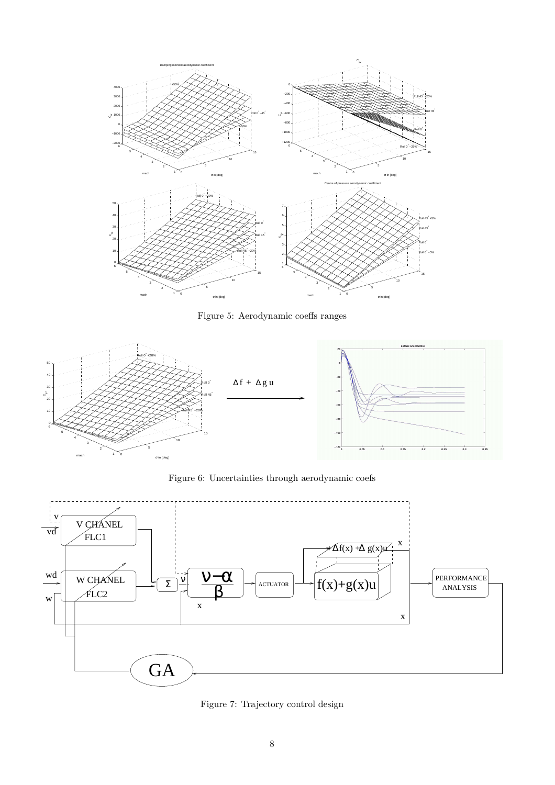

Figure 5: Aerodynamic coeffs ranges



Figure 6: Uncertainties through aerodynamic coefs



Figure 7: Trajectory control design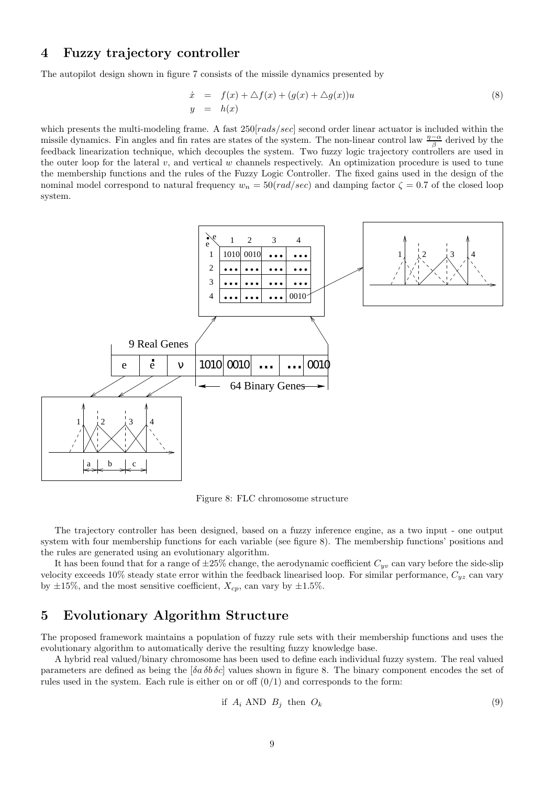#### 4 Fuzzy trajectory controller

The autopilot design shown in figure 7 consists of the missile dynamics presented by

$$
\begin{array}{rcl}\n\dot{x} & = & f(x) + \Delta f(x) + (g(x) + \Delta g(x))u \\
y & = & h(x)\n\end{array} \tag{8}
$$

which presents the multi-modeling frame. A fast  $250[rads/sec]$  second order linear actuator is included within the missile dynamics. Fin angles and fin rates are states of the system. The non-linear control law  $\frac{\eta-\alpha}{\beta}$  derived by the feedback linearization technique, which decouples the system. Two fuzzy logic trajectory controllers are used in the outer loop for the lateral  $v$ , and vertical  $w$  channels respectively. An optimization procedure is used to tune the membership functions and the rules of the Fuzzy Logic Controller. The fixed gains used in the design of the nominal model correspond to natural frequency  $w_n = 50/rad/sec$  and damping factor  $\zeta = 0.7$  of the closed loop system.



Figure 8: FLC chromosome structure

The trajectory controller has been designed, based on a fuzzy inference engine, as a two input - one output system with four membership functions for each variable (see figure 8). The membership functions' positions and the rules are generated using an evolutionary algorithm.

It has been found that for a range of  $\pm 25\%$  change, the aerodynamic coefficient  $C_{yv}$  can vary before the side-slip velocity exceeds 10% steady state error within the feedback linearised loop. For similar performance,  $C_{yz}$  can vary by  $\pm 15\%$ , and the most sensitive coefficient,  $X_{cp}$ , can vary by  $\pm 1.5\%$ .

### 5 Evolutionary Algorithm Structure

The proposed framework maintains a population of fuzzy rule sets with their membership functions and uses the evolutionary algorithm to automatically derive the resulting fuzzy knowledge base.

A hybrid real valued/binary chromosome has been used to define each individual fuzzy system. The real valued parameters are defined as being the  $[\delta a \delta b \delta c]$  values shown in figure 8. The binary component encodes the set of rules used in the system. Each rule is either on or off  $(0/1)$  and corresponds to the form:

if 
$$
A_i
$$
 AND  $B_j$  then  $O_k$  (9)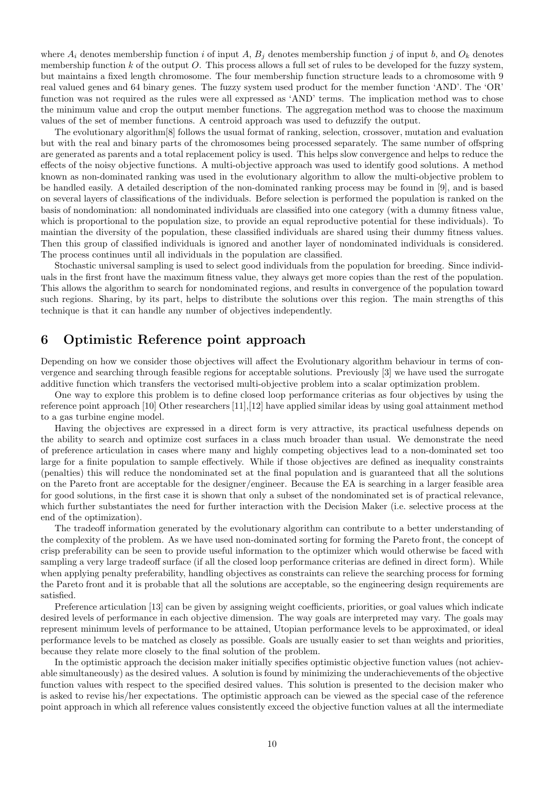where  $A_i$  denotes membership function i of input A,  $B_j$  denotes membership function j of input b, and  $O_k$  denotes membership function  $k$  of the output  $O$ . This process allows a full set of rules to be developed for the fuzzy system, but maintains a fixed length chromosome. The four membership function structure leads to a chromosome with 9 real valued genes and 64 binary genes. The fuzzy system used product for the member function 'AND'. The 'OR' function was not required as the rules were all expressed as 'AND' terms. The implication method was to chose the minimum value and crop the output member functions. The aggregation method was to choose the maximum values of the set of member functions. A centroid approach was used to defuzzify the output.

The evolutionary algorithm[8] follows the usual format of ranking, selection, crossover, mutation and evaluation but with the real and binary parts of the chromosomes being processed separately. The same number of offspring are generated as parents and a total replacement policy is used. This helps slow convergence and helps to reduce the effects of the noisy objective functions. A multi-objective approach was used to identify good solutions. A method known as non-dominated ranking was used in the evolutionary algorithm to allow the multi-objective problem to be handled easily. A detailed description of the non-dominated ranking process may be found in [9], and is based on several layers of classifications of the individuals. Before selection is performed the population is ranked on the basis of nondomination: all nondominated individuals are classified into one category (with a dummy fitness value, which is proportional to the population size, to provide an equal reproductive potential for these individuals). To maintian the diversity of the population, these classified individuals are shared using their dummy fitness values. Then this group of classified individuals is ignored and another layer of nondominated individuals is considered. The process continues until all individuals in the population are classified.

Stochastic universal sampling is used to select good individuals from the population for breeding. Since individuals in the first front have the maximum fitness value, they always get more copies than the rest of the population. This allows the algorithm to search for nondominated regions, and results in convergence of the population toward such regions. Sharing, by its part, helps to distribute the solutions over this region. The main strengths of this technique is that it can handle any number of objectives independently.

#### 6 Optimistic Reference point approach

Depending on how we consider those objectives will affect the Evolutionary algorithm behaviour in terms of convergence and searching through feasible regions for acceptable solutions. Previously [3] we have used the surrogate additive function which transfers the vectorised multi-objective problem into a scalar optimization problem.

One way to explore this problem is to define closed loop performance criterias as four objectives by using the reference point approach [10] Other researchers [11],[12] have applied similar ideas by using goal attainment method to a gas turbine engine model.

Having the objectives are expressed in a direct form is very attractive, its practical usefulness depends on the ability to search and optimize cost surfaces in a class much broader than usual. We demonstrate the need of preference articulation in cases where many and highly competing objectives lead to a non-dominated set too large for a finite population to sample effectively. While if those objectives are defined as inequality constraints (penalties) this will reduce the nondominated set at the final population and is guaranteed that all the solutions on the Pareto front are acceptable for the designer/engineer. Because the EA is searching in a larger feasible area for good solutions, in the first case it is shown that only a subset of the nondominated set is of practical relevance, which further substantiates the need for further interaction with the Decision Maker (i.e. selective process at the end of the optimization).

The tradeoff information generated by the evolutionary algorithm can contribute to a better understanding of the complexity of the problem. As we have used non-dominated sorting for forming the Pareto front, the concept of crisp preferability can be seen to provide useful information to the optimizer which would otherwise be faced with sampling a very large tradeoff surface (if all the closed loop performance criterias are defined in direct form). While when applying penalty preferability, handling objectives as constraints can relieve the searching process for forming the Pareto front and it is probable that all the solutions are acceptable, so the engineering design requirements are satisfied.

Preference articulation [13] can be given by assigning weight coefficients, priorities, or goal values which indicate desired levels of performance in each objective dimension. The way goals are interpreted may vary. The goals may represent minimum levels of performance to be attained, Utopian performance levels to be approximated, or ideal performance levels to be matched as closely as possible. Goals are usually easier to set than weights and priorities, because they relate more closely to the final solution of the problem.

In the optimistic approach the decision maker initially specifies optimistic objective function values (not achievable simultaneously) as the desired values. A solution is found by minimizing the underachievements of the objective function values with respect to the specified desired values. This solution is presented to the decision maker who is asked to revise his/her expectations. The optimistic approach can be viewed as the special case of the reference point approach in which all reference values consistently exceed the objective function values at all the intermediate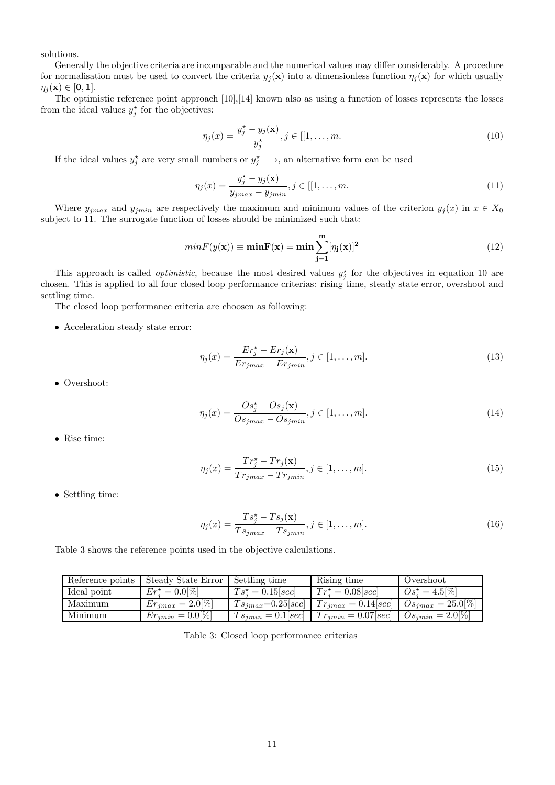solutions.

Generally the objective criteria are incomparable and the numerical values may differ considerably. A procedure for normalisation must be used to convert the criteria  $y_i(\mathbf{x})$  into a dimensionless function  $\eta_i(\mathbf{x})$  for which usually  $\eta_i(\mathbf{x}) \in [0,1].$ 

The optimistic reference point approach [10],[14] known also as using a function of losses represents the losses from the ideal values  $y_j^*$  for the objectives:

$$
\eta_j(x) = \frac{y_j^* - y_j(\mathbf{x})}{y_j^*}, j \in [[1, \dots, m. \tag{10})
$$

If the ideal values  $y_j^*$  are very small numbers or  $y_j^* \longrightarrow$ , an alternative form can be used

$$
\eta_j(x) = \frac{y_j^* - y_j(\mathbf{x})}{y_{jmax} - y_{jmin}}, j \in [[1, \dots, m. \tag{11})
$$

Where  $y_{jmax}$  and  $y_{jmin}$  are respectively the maximum and minimum values of the criterion  $y_j(x)$  in  $x \in X_0$ subject to 11. The surrogate function of losses should be minimized such that:

$$
minF(y(\mathbf{x})) \equiv \min \mathbf{F}(\mathbf{x}) = \min \sum_{j=1}^{m} [\eta_j(\mathbf{x})]^2
$$
\n(12)

This approach is called *optimistic*, because the most desired values  $y_j^*$  for the objectives in equation 10 are chosen. This is applied to all four closed loop performance criterias: rising time, steady state error, overshoot and settling time.

The closed loop performance criteria are choosen as following:

• Acceleration steady state error:

$$
\eta_j(x) = \frac{Er_j^* - Er_j(\mathbf{x})}{Er_{jmax} - Er_{jmin}}, j \in [1, \dots, m].
$$
\n(13)

• Overshoot:

$$
\eta_j(x) = \frac{Os_j^* - Os_j(\mathbf{x})}{Os_{jmax} - Os_{jmin}}, j \in [1, \dots, m].
$$
\n(14)

• Rise time:

$$
\eta_j(x) = \frac{Tr_j^* - Tr_j(\mathbf{x})}{Tr_{jmax} - Tr_{jmin}}, j \in [1, \dots, m].
$$
\n(15)

• Settling time:

$$
\eta_j(x) = \frac{T s_j^* - T s_j(\mathbf{x})}{T s_{jmax} - T s_{jmin}}, j \in [1, \dots, m].
$$
\n(16)

Table 3 shows the reference points used in the objective calculations.

| Reference points | Steady State Error  | Settling time          | Rising time                  | Overshoot                |
|------------------|---------------------|------------------------|------------------------------|--------------------------|
| Ideal point      | $Er_i^* = 0.0\%$    | $Ts_i^* = 0.15[sec]$   | $Tr_{i}^{\star} = 0.08[sec]$ | $Os_{s}^{\star} = 4.5\%$ |
| Maximum          | $Er_{jmax} = 2.0\%$ | $Ts_{imax}=0.25[sec]$  | $Tr_{jmax} = 0.14[sec]$      | $Os_{imax} = 25.0\%$     |
| Minimum          | $Er_{jmin} = 0.0\%$ | $Ts_{jmin} = 0.1[sec]$ | $Tr_{jmin} = 0.07[sec]$      | $Os_{jmin} = 2.0\%$      |

Table 3: Closed loop performance criterias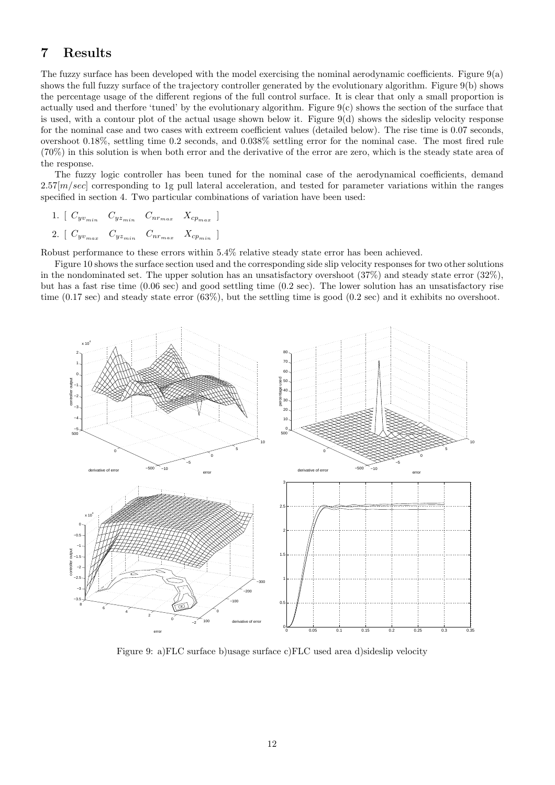### 7 Results

The fuzzy surface has been developed with the model exercising the nominal aerodynamic coefficients. Figure 9(a) shows the full fuzzy surface of the trajectory controller generated by the evolutionary algorithm. Figure 9(b) shows the percentage usage of the different regions of the full control surface. It is clear that only a small proportion is actually used and therfore 'tuned' by the evolutionary algorithm. Figure  $9(c)$  shows the section of the surface that is used, with a contour plot of the actual usage shown below it. Figure  $9(d)$  shows the sideslip velocity response for the nominal case and two cases with extreem coefficient values (detailed below). The rise time is 0.07 seconds, overshoot 0.18%, settling time 0.2 seconds, and 0.038% settling error for the nominal case. The most fired rule (70%) in this solution is when both error and the derivative of the error are zero, which is the steady state area of the response.

The fuzzy logic controller has been tuned for the nominal case of the aerodynamical coefficients, demand  $2.57[m/sec]$  corresponding to 1g pull lateral acceleration, and tested for parameter variations within the ranges specified in section 4. Two particular combinations of variation have been used:

1. 
$$
\left[ C_{yv_{min}} \quad C_{yz_{min}} \quad C_{nr_{max}} \quad X_{cp_{max}} \right]
$$

2. 
$$
\left[ \begin{array}{cc} C_{yv_{max}} & C_{yz_{min}} & C_{nr_{max}} & X_{cp_{min}} \end{array} \right]
$$

Robust performance to these errors within 5.4% relative steady state error has been achieved.

Figure 10 shows the surface section used and the corresponding side slip velocity responses for two other solutions in the nondominated set. The upper solution has an unsatisfactory overshoot  $(37%)$  and steady state error  $(32%)$ , but has a fast rise time (0.06 sec) and good settling time (0.2 sec). The lower solution has an unsatisfactory rise time (0.17 sec) and steady state error (63%), but the settling time is good (0.2 sec) and it exhibits no overshoot.



Figure 9: a)FLC surface b)usage surface c)FLC used area d)sideslip velocity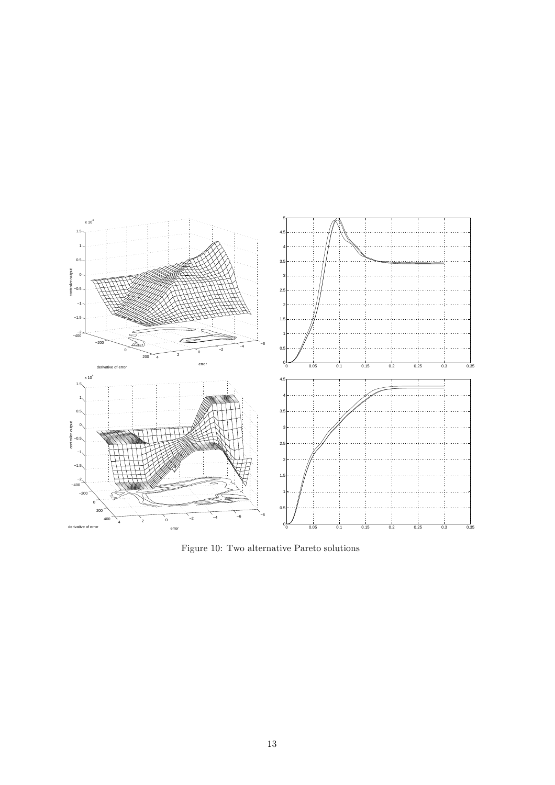

Figure 10: Two alternative Pareto solutions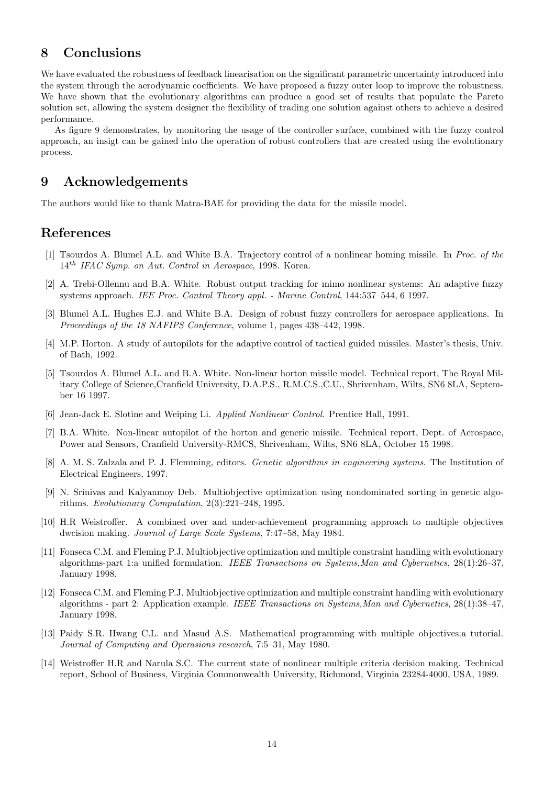#### 8 Conclusions

We have evaluated the robustness of feedback linearisation on the significant parametric uncertainty introduced into the system through the aerodynamic coefficients. We have proposed a fuzzy outer loop to improve the robustness. We have shown that the evolutionary algorithms can produce a good set of results that populate the Pareto solution set, allowing the system designer the flexibility of trading one solution against others to achieve a desired performance.

As figure 9 demonstrates, by monitoring the usage of the controller surface, combined with the fuzzy control approach, an insigt can be gained into the operation of robust controllers that are created using the evolutionary process.

### 9 Acknowledgements

The authors would like to thank Matra-BAE for providing the data for the missile model.

#### References

- [1] Tsourdos A. Blumel A.L. and White B.A. Trajectory control of a nonlinear homing missile. In Proc. of the  $14<sup>th</sup>$  IFAC Symp. on Aut. Control in Aerospace, 1998. Korea.
- [2] A. Trebi-Ollennu and B.A. White. Robust output tracking for mimo nonlinear systems: An adaptive fuzzy systems approach. IEE Proc. Control Theory appl. - Marine Control, 144:537–544, 6 1997.
- [3] Blumel A.L. Hughes E.J. and White B.A. Design of robust fuzzy controllers for aerospace applications. In Proceedings of the 18 NAFIPS Conference, volume 1, pages 438–442, 1998.
- [4] M.P. Horton. A study of autopilots for the adaptive control of tactical guided missiles. Master's thesis, Univ. of Bath, 1992.
- [5] Tsourdos A. Blumel A.L. and B.A. White. Non-linear horton missile model. Technical report, The Royal Military College of Science,Cranfield University, D.A.P.S., R.M.C.S.,C.U., Shrivenham, Wilts, SN6 8LA, September 16 1997.
- [6] Jean-Jack E. Slotine and Weiping Li. Applied Nonlinear Control. Prentice Hall, 1991.
- [7] B.A. White. Non-linear autopilot of the horton and generic missile. Technical report, Dept. of Aerospace, Power and Sensors, Cranfield University-RMCS, Shrivenham, Wilts, SN6 8LA, October 15 1998.
- [8] A. M. S. Zalzala and P. J. Flemming, editors. Genetic algorithms in engineering systems. The Institution of Electrical Engineers, 1997.
- [9] N. Srinivas and Kalyanmoy Deb. Multiobjective optimization using nondominated sorting in genetic algorithms. Evolutionary Computation, 2(3):221–248, 1995.
- [10] H.R Weistroffer. A combined over and under-achievement programming approach to multiple objectives dwcision making. Journal of Large Scale Systems, 7:47–58, May 1984.
- [11] Fonseca C.M. and Fleming P.J. Multiobjective optimization and multiple constraint handling with evolutionary algorithms-part 1:a unified formulation. IEEE Transactions on Systems,Man and Cybernetics, 28(1):26–37, January 1998.
- [12] Fonseca C.M. and Fleming P.J. Multiobjective optimization and multiple constraint handling with evolutionary algorithms - part 2: Application example. IEEE Transactions on Systems,Man and Cybernetics, 28(1):38–47, January 1998.
- [13] Paidy S.R. Hwang C.L. and Masud A.S. Mathematical programming with multiple objectives:a tutorial. Journal of Computing and Operasions research, 7:5–31, May 1980.
- [14] Weistroffer H.R and Narula S.C. The current state of nonlinear multiple criteria decision making. Technical report, School of Business, Virginia Commonwealth University, Richmond, Virginia 23284-4000, USA, 1989.